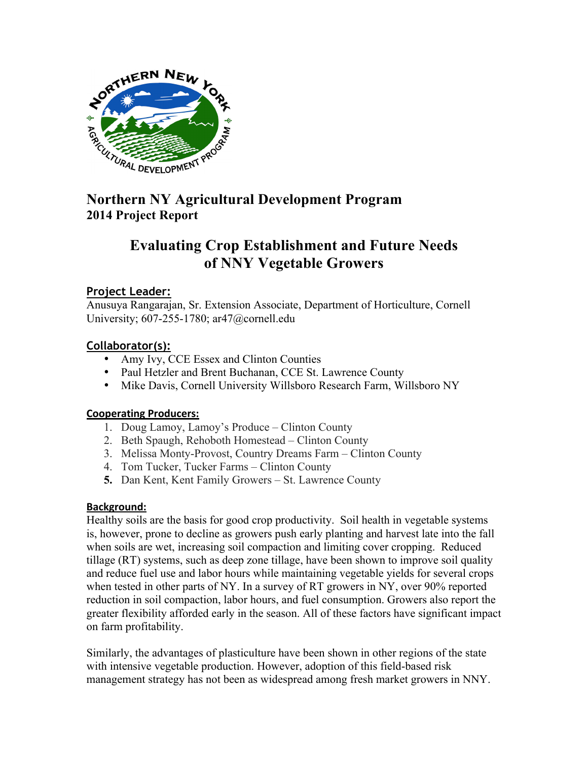

# **2014 Project Report**

# **Evaluating Crop Establishment and Future Needs of NNY Vegetable Growers**

# **Project Leader:**

Anusuya Rangarajan, Sr. Extension Associate, Department of Horticulture, Cornell University; 607-255-1780; ar47@cornell.edu

# **Collaborator(s):**

- Amy Ivy, CCE Essex and Clinton Counties
- Paul Hetzler and Brent Buchanan, CCE St. Lawrence County
- Mike Davis, Cornell University Willsboro Research Farm, Willsboro NY

# **Cooperating Producers:**

- 1. Doug Lamoy, Lamoy's Produce Clinton County
- 2. Beth Spaugh, Rehoboth Homestead Clinton County
- 3. Melissa Monty-Provost, Country Dreams Farm Clinton County
- 4. Tom Tucker, Tucker Farms Clinton County
- **5.** Dan Kent, Kent Family Growers St. Lawrence County

# **Background:**

Healthy soils are the basis for good crop productivity. Soil health in vegetable systems is, however, prone to decline as growers push early planting and harvest late into the fall when soils are wet, increasing soil compaction and limiting cover cropping. Reduced tillage (RT) systems, such as deep zone tillage, have been shown to improve soil quality and reduce fuel use and labor hours while maintaining vegetable yields for several crops when tested in other parts of NY. In a survey of RT growers in NY, over 90% reported reduction in soil compaction, labor hours, and fuel consumption. Growers also report the greater flexibility afforded early in the season. All of these factors have significant impact on farm profitability.

Similarly, the advantages of plasticulture have been shown in other regions of the state with intensive vegetable production. However, adoption of this field-based risk management strategy has not been as widespread among fresh market growers in NNY.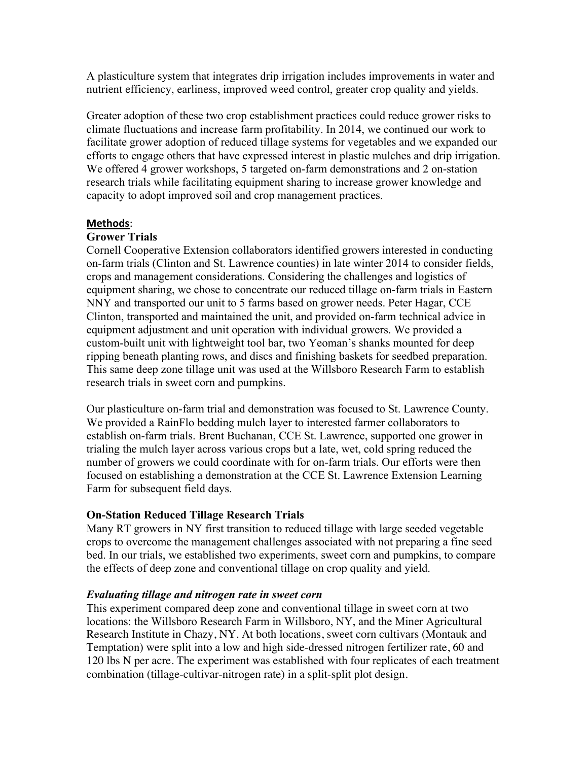A plasticulture system that integrates drip irrigation includes improvements in water and nutrient efficiency, earliness, improved weed control, greater crop quality and yields.

Greater adoption of these two crop establishment practices could reduce grower risks to climate fluctuations and increase farm profitability. In 2014, we continued our work to facilitate grower adoption of reduced tillage systems for vegetables and we expanded our efforts to engage others that have expressed interest in plastic mulches and drip irrigation. We offered 4 grower workshops, 5 targeted on-farm demonstrations and 2 on-station research trials while facilitating equipment sharing to increase grower knowledge and capacity to adopt improved soil and crop management practices.

#### **Methods:**

#### **Grower Trials**

Cornell Cooperative Extension collaborators identified growers interested in conducting on-farm trials (Clinton and St. Lawrence counties) in late winter 2014 to consider fields, crops and management considerations. Considering the challenges and logistics of equipment sharing, we chose to concentrate our reduced tillage on-farm trials in Eastern NNY and transported our unit to 5 farms based on grower needs. Peter Hagar, CCE Clinton, transported and maintained the unit, and provided on-farm technical advice in equipment adjustment and unit operation with individual growers. We provided a custom-built unit with lightweight tool bar, two Yeoman's shanks mounted for deep ripping beneath planting rows, and discs and finishing baskets for seedbed preparation. This same deep zone tillage unit was used at the Willsboro Research Farm to establish research trials in sweet corn and pumpkins.

Our plasticulture on-farm trial and demonstration was focused to St. Lawrence County. We provided a RainFlo bedding mulch layer to interested farmer collaborators to establish on-farm trials. Brent Buchanan, CCE St. Lawrence, supported one grower in trialing the mulch layer across various crops but a late, wet, cold spring reduced the number of growers we could coordinate with for on-farm trials. Our efforts were then focused on establishing a demonstration at the CCE St. Lawrence Extension Learning Farm for subsequent field days.

# **On-Station Reduced Tillage Research Trials**

Many RT growers in NY first transition to reduced tillage with large seeded vegetable crops to overcome the management challenges associated with not preparing a fine seed bed. In our trials, we established two experiments, sweet corn and pumpkins, to compare the effects of deep zone and conventional tillage on crop quality and yield.

#### *Evaluating tillage and nitrogen rate in sweet corn*

This experiment compared deep zone and conventional tillage in sweet corn at two locations: the Willsboro Research Farm in Willsboro, NY, and the Miner Agricultural Research Institute in Chazy, NY. At both locations, sweet corn cultivars (Montauk and Temptation) were split into a low and high side-dressed nitrogen fertilizer rate, 60 and 120 lbs N per acre. The experiment was established with four replicates of each treatment combination (tillage-cultivar-nitrogen rate) in a split-split plot design.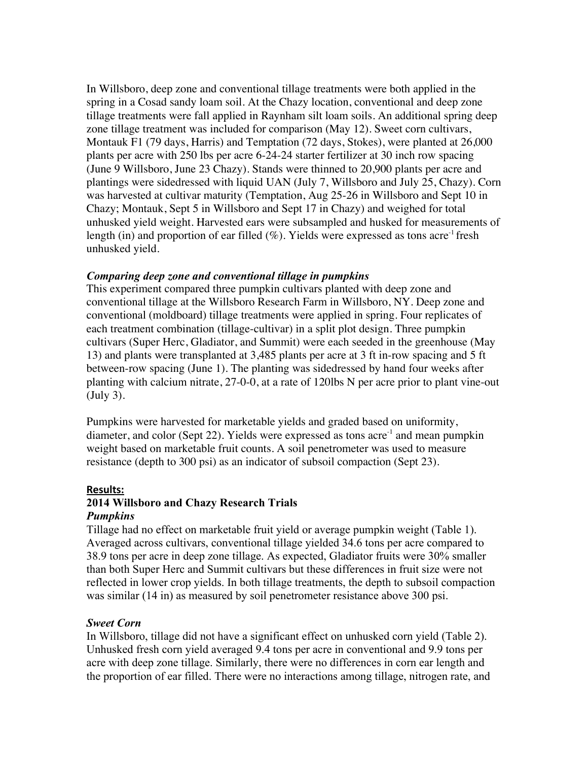In Willsboro, deep zone and conventional tillage treatments were both applied in the spring in a Cosad sandy loam soil. At the Chazy location, conventional and deep zone tillage treatments were fall applied in Raynham silt loam soils. An additional spring deep zone tillage treatment was included for comparison (May 12). Sweet corn cultivars, Montauk F1 (79 days, Harris) and Temptation (72 days, Stokes), were planted at 26,000 plants per acre with 250 lbs per acre 6-24-24 starter fertilizer at 30 inch row spacing (June 9 Willsboro, June 23 Chazy). Stands were thinned to 20,900 plants per acre and plantings were sidedressed with liquid UAN (July 7, Willsboro and July 25, Chazy). Corn was harvested at cultivar maturity (Temptation, Aug 25-26 in Willsboro and Sept 10 in Chazy; Montauk, Sept 5 in Willsboro and Sept 17 in Chazy) and weighed for total unhusked yield weight. Harvested ears were subsampled and husked for measurements of length (in) and proportion of ear filled  $(\%)$ . Yields were expressed as tons acre<sup>-1</sup> fresh unhusked yield.

#### *Comparing deep zone and conventional tillage in pumpkins*

This experiment compared three pumpkin cultivars planted with deep zone and conventional tillage at the Willsboro Research Farm in Willsboro, NY. Deep zone and conventional (moldboard) tillage treatments were applied in spring. Four replicates of each treatment combination (tillage-cultivar) in a split plot design. Three pumpkin cultivars (Super Herc, Gladiator, and Summit) were each seeded in the greenhouse (May 13) and plants were transplanted at 3,485 plants per acre at 3 ft in-row spacing and 5 ft between-row spacing (June 1). The planting was sidedressed by hand four weeks after planting with calcium nitrate, 27-0-0, at a rate of 120lbs N per acre prior to plant vine-out (July 3).

Pumpkins were harvested for marketable yields and graded based on uniformity, diameter, and color (Sept 22). Yields were expressed as tons acre<sup>-1</sup> and mean pumpkin weight based on marketable fruit counts. A soil penetrometer was used to measure resistance (depth to 300 psi) as an indicator of subsoil compaction (Sept 23).

#### **Results:**!!

# **2014 Willsboro and Chazy Research Trials** *Pumpkins*

Tillage had no effect on marketable fruit yield or average pumpkin weight (Table 1). Averaged across cultivars, conventional tillage yielded 34.6 tons per acre compared to 38.9 tons per acre in deep zone tillage. As expected, Gladiator fruits were 30% smaller than both Super Herc and Summit cultivars but these differences in fruit size were not reflected in lower crop yields. In both tillage treatments, the depth to subsoil compaction was similar (14 in) as measured by soil penetrometer resistance above 300 psi.

# *Sweet Corn*

In Willsboro, tillage did not have a significant effect on unhusked corn yield (Table 2). Unhusked fresh corn yield averaged 9.4 tons per acre in conventional and 9.9 tons per acre with deep zone tillage. Similarly, there were no differences in corn ear length and the proportion of ear filled. There were no interactions among tillage, nitrogen rate, and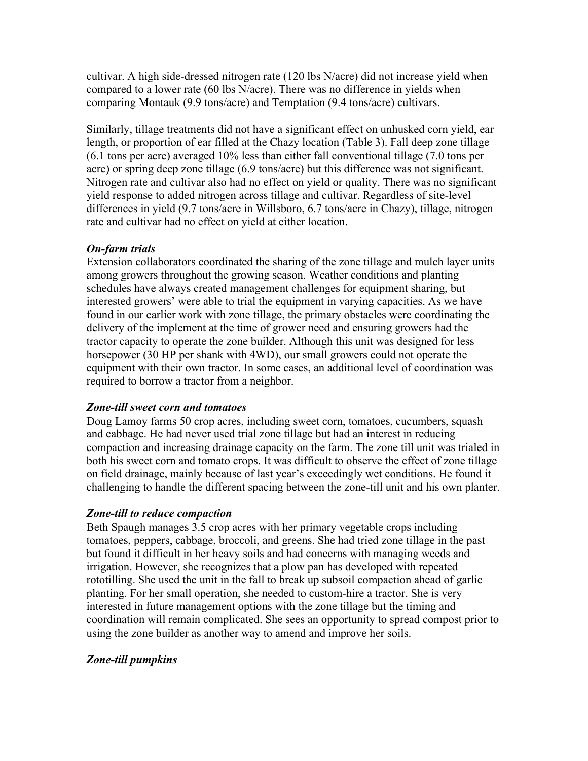cultivar. A high side-dressed nitrogen rate (120 lbs N/acre) did not increase yield when compared to a lower rate (60 lbs N/acre). There was no difference in yields when comparing Montauk (9.9 tons/acre) and Temptation (9.4 tons/acre) cultivars.

Similarly, tillage treatments did not have a significant effect on unhusked corn yield, ear length, or proportion of ear filled at the Chazy location (Table 3). Fall deep zone tillage (6.1 tons per acre) averaged 10% less than either fall conventional tillage (7.0 tons per acre) or spring deep zone tillage (6.9 tons/acre) but this difference was not significant. Nitrogen rate and cultivar also had no effect on yield or quality. There was no significant yield response to added nitrogen across tillage and cultivar. Regardless of site-level differences in yield (9.7 tons/acre in Willsboro, 6.7 tons/acre in Chazy), tillage, nitrogen rate and cultivar had no effect on yield at either location.

# *On-farm trials*

Extension collaborators coordinated the sharing of the zone tillage and mulch layer units among growers throughout the growing season. Weather conditions and planting schedules have always created management challenges for equipment sharing, but interested growers' were able to trial the equipment in varying capacities. As we have found in our earlier work with zone tillage, the primary obstacles were coordinating the delivery of the implement at the time of grower need and ensuring growers had the tractor capacity to operate the zone builder. Although this unit was designed for less horsepower (30 HP per shank with 4WD), our small growers could not operate the equipment with their own tractor. In some cases, an additional level of coordination was required to borrow a tractor from a neighbor.

# *Zone-till sweet corn and tomatoes*

Doug Lamoy farms 50 crop acres, including sweet corn, tomatoes, cucumbers, squash and cabbage. He had never used trial zone tillage but had an interest in reducing compaction and increasing drainage capacity on the farm. The zone till unit was trialed in both his sweet corn and tomato crops. It was difficult to observe the effect of zone tillage on field drainage, mainly because of last year's exceedingly wet conditions. He found it challenging to handle the different spacing between the zone-till unit and his own planter.

# *Zone-till to reduce compaction*

Beth Spaugh manages 3.5 crop acres with her primary vegetable crops including tomatoes, peppers, cabbage, broccoli, and greens. She had tried zone tillage in the past but found it difficult in her heavy soils and had concerns with managing weeds and irrigation. However, she recognizes that a plow pan has developed with repeated rototilling. She used the unit in the fall to break up subsoil compaction ahead of garlic planting. For her small operation, she needed to custom-hire a tractor. She is very interested in future management options with the zone tillage but the timing and coordination will remain complicated. She sees an opportunity to spread compost prior to using the zone builder as another way to amend and improve her soils.

# *Zone-till pumpkins*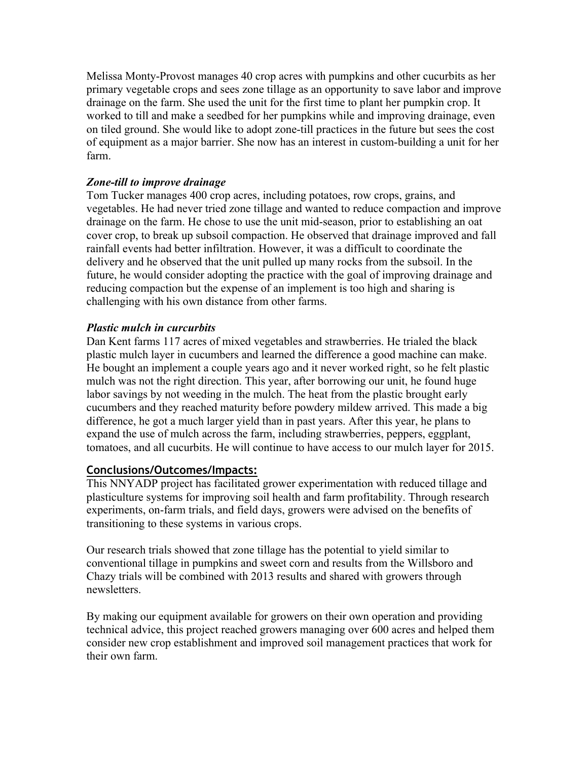Melissa Monty-Provost manages 40 crop acres with pumpkins and other cucurbits as her primary vegetable crops and sees zone tillage as an opportunity to save labor and improve drainage on the farm. She used the unit for the first time to plant her pumpkin crop. It worked to till and make a seedbed for her pumpkins while and improving drainage, even on tiled ground. She would like to adopt zone-till practices in the future but sees the cost of equipment as a major barrier. She now has an interest in custom-building a unit for her farm.

#### *Zone-till to improve drainage*

Tom Tucker manages 400 crop acres, including potatoes, row crops, grains, and vegetables. He had never tried zone tillage and wanted to reduce compaction and improve drainage on the farm. He chose to use the unit mid-season, prior to establishing an oat cover crop, to break up subsoil compaction. He observed that drainage improved and fall rainfall events had better infiltration. However, it was a difficult to coordinate the delivery and he observed that the unit pulled up many rocks from the subsoil. In the future, he would consider adopting the practice with the goal of improving drainage and reducing compaction but the expense of an implement is too high and sharing is challenging with his own distance from other farms.

# *Plastic mulch in curcurbits*

Dan Kent farms 117 acres of mixed vegetables and strawberries. He trialed the black plastic mulch layer in cucumbers and learned the difference a good machine can make. He bought an implement a couple years ago and it never worked right, so he felt plastic mulch was not the right direction. This year, after borrowing our unit, he found huge labor savings by not weeding in the mulch. The heat from the plastic brought early cucumbers and they reached maturity before powdery mildew arrived. This made a big difference, he got a much larger yield than in past years. After this year, he plans to expand the use of mulch across the farm, including strawberries, peppers, eggplant, tomatoes, and all cucurbits. He will continue to have access to our mulch layer for 2015.

# **Conclusions/Outcomes/Impacts:**

This NNYADP project has facilitated grower experimentation with reduced tillage and plasticulture systems for improving soil health and farm profitability. Through research experiments, on-farm trials, and field days, growers were advised on the benefits of transitioning to these systems in various crops.

Our research trials showed that zone tillage has the potential to yield similar to conventional tillage in pumpkins and sweet corn and results from the Willsboro and Chazy trials will be combined with 2013 results and shared with growers through newsletters.

By making our equipment available for growers on their own operation and providing technical advice, this project reached growers managing over 600 acres and helped them consider new crop establishment and improved soil management practices that work for their own farm.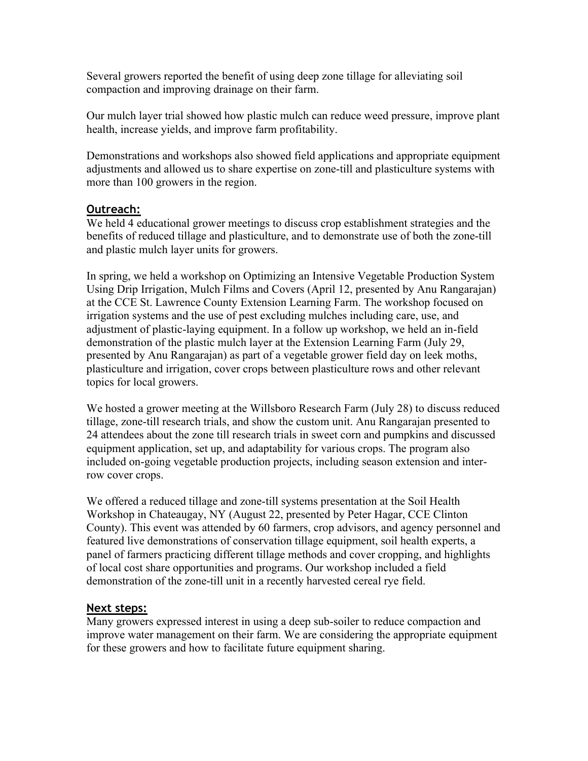Several growers reported the benefit of using deep zone tillage for alleviating soil compaction and improving drainage on their farm.

Our mulch layer trial showed how plastic mulch can reduce weed pressure, improve plant health, increase yields, and improve farm profitability.

Demonstrations and workshops also showed field applications and appropriate equipment adjustments and allowed us to share expertise on zone-till and plasticulture systems with more than 100 growers in the region.

# **Outreach:**

We held 4 educational grower meetings to discuss crop establishment strategies and the benefits of reduced tillage and plasticulture, and to demonstrate use of both the zone-till and plastic mulch layer units for growers.

In spring, we held a workshop on Optimizing an Intensive Vegetable Production System Using Drip Irrigation, Mulch Films and Covers (April 12, presented by Anu Rangarajan) at the CCE St. Lawrence County Extension Learning Farm. The workshop focused on irrigation systems and the use of pest excluding mulches including care, use, and adjustment of plastic-laying equipment. In a follow up workshop, we held an in-field demonstration of the plastic mulch layer at the Extension Learning Farm (July 29, presented by Anu Rangarajan) as part of a vegetable grower field day on leek moths, plasticulture and irrigation, cover crops between plasticulture rows and other relevant topics for local growers.

We hosted a grower meeting at the Willsboro Research Farm (July 28) to discuss reduced tillage, zone-till research trials, and show the custom unit. Anu Rangarajan presented to 24 attendees about the zone till research trials in sweet corn and pumpkins and discussed equipment application, set up, and adaptability for various crops. The program also included on-going vegetable production projects, including season extension and interrow cover crops.

We offered a reduced tillage and zone-till systems presentation at the Soil Health Workshop in Chateaugay, NY (August 22, presented by Peter Hagar, CCE Clinton County). This event was attended by 60 farmers, crop advisors, and agency personnel and featured live demonstrations of conservation tillage equipment, soil health experts, a panel of farmers practicing different tillage methods and cover cropping, and highlights of local cost share opportunities and programs. Our workshop included a field demonstration of the zone-till unit in a recently harvested cereal rye field.

# **Next steps:**

Many growers expressed interest in using a deep sub-soiler to reduce compaction and improve water management on their farm. We are considering the appropriate equipment for these growers and how to facilitate future equipment sharing.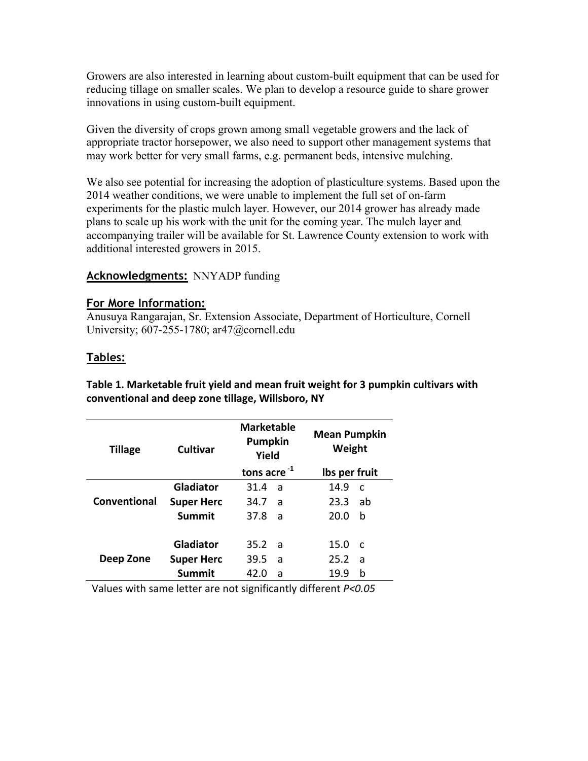Growers are also interested in learning about custom-built equipment that can be used for reducing tillage on smaller scales. We plan to develop a resource guide to share grower innovations in using custom-built equipment.

Given the diversity of crops grown among small vegetable growers and the lack of appropriate tractor horsepower, we also need to support other management systems that may work better for very small farms, e.g. permanent beds, intensive mulching.

We also see potential for increasing the adoption of plasticulture systems. Based upon the 2014 weather conditions, we were unable to implement the full set of on-farm experiments for the plastic mulch layer. However, our 2014 grower has already made plans to scale up his work with the unit for the coming year. The mulch layer and accompanying trailer will be available for St. Lawrence County extension to work with additional interested growers in 2015.

# **Acknowledgments: NNYADP funding**

#### **For More Information:**

Anusuya Rangarajan, Sr. Extension Associate, Department of Horticulture, Cornell University; 607-255-1780; ar47@cornell.edu

#### **Tables:**

Table 1. Marketable fruit yield and mean fruit weight for 3 pumpkin cultivars with conventional and deep zone tillage, Willsboro, NY

| <b>Tillage</b> | Cultivar          | <b>Marketable</b><br>Pumpkin<br>Yield |     | <b>Mean Pumpkin</b><br>Weight |              |
|----------------|-------------------|---------------------------------------|-----|-------------------------------|--------------|
|                |                   | tons acre $^{-1}$                     |     | Ibs per fruit                 |              |
| Conventional   | Gladiator         | 31.4                                  | a   | 14.9                          | C            |
|                | <b>Super Herc</b> | 34.7                                  | a   | 23.3                          | ab           |
|                | Summit            | 37.8                                  | - a | 20.0                          | b            |
|                |                   |                                       |     |                               |              |
|                | Gladiator         | 35.2                                  | ่ล  | 15.0                          | <sub>c</sub> |
| Deep Zone      | <b>Super Herc</b> | 39.5                                  | a   | 25.2                          | a            |
|                | Summit            | 42.0                                  | a   | 19.9                          | b            |

Values with same letter are not significantly different *P<0.05*